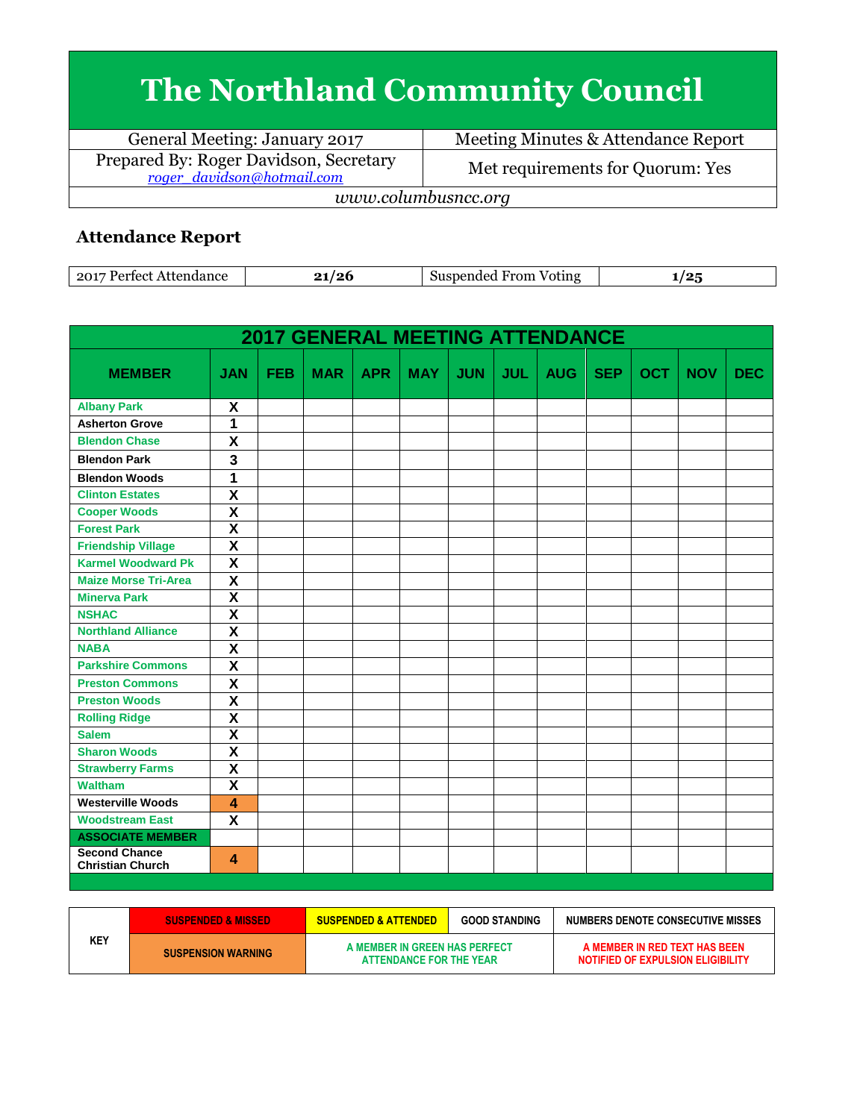## **The Northland Community Council**

General Meeting: January 2017 Meeting Minutes & Attendance Report Prepared By: Roger Davidson, Secretary<br>
<u>roger davidson@hotmail.com</u> Met requirements for Quorum: Yes *www.columbusncc.org*

## **Attendance Report**

| 2017<br>mac | . . | $\sim$<br>OTIF<br>$\sim$ $\sim$ $\sim$ $\sim$ $\sim$ $\sim$ | הו<br>. . |
|-------------|-----|-------------------------------------------------------------|-----------|
|-------------|-----|-------------------------------------------------------------|-----------|

|                                                 |                         |            | <b>2017 GENERAL MEETING ATTENDANCE</b> |            |            |            |            |            |            |            |            |            |
|-------------------------------------------------|-------------------------|------------|----------------------------------------|------------|------------|------------|------------|------------|------------|------------|------------|------------|
| <b>MEMBER</b>                                   | <b>JAN</b>              | <b>FEB</b> | <b>MAR</b>                             | <b>APR</b> | <b>MAY</b> | <b>JUN</b> | <b>JUL</b> | <b>AUG</b> | <b>SEP</b> | <b>OCT</b> | <b>NOV</b> | <b>DEC</b> |
| <b>Albany Park</b>                              | X                       |            |                                        |            |            |            |            |            |            |            |            |            |
| <b>Asherton Grove</b>                           | 1                       |            |                                        |            |            |            |            |            |            |            |            |            |
| <b>Blendon Chase</b>                            | X                       |            |                                        |            |            |            |            |            |            |            |            |            |
| <b>Blendon Park</b>                             | 3                       |            |                                        |            |            |            |            |            |            |            |            |            |
| <b>Blendon Woods</b>                            | $\overline{1}$          |            |                                        |            |            |            |            |            |            |            |            |            |
| <b>Clinton Estates</b>                          | $\overline{\mathbf{x}}$ |            |                                        |            |            |            |            |            |            |            |            |            |
| <b>Cooper Woods</b>                             | $\overline{\mathsf{x}}$ |            |                                        |            |            |            |            |            |            |            |            |            |
| <b>Forest Park</b>                              | $\overline{\mathbf{x}}$ |            |                                        |            |            |            |            |            |            |            |            |            |
| <b>Friendship Village</b>                       | $\overline{\mathbf{x}}$ |            |                                        |            |            |            |            |            |            |            |            |            |
| <b>Karmel Woodward Pk</b>                       | X                       |            |                                        |            |            |            |            |            |            |            |            |            |
| <b>Maize Morse Tri-Area</b>                     | $\overline{\mathbf{x}}$ |            |                                        |            |            |            |            |            |            |            |            |            |
| <b>Minerva Park</b>                             | $\overline{\mathbf{x}}$ |            |                                        |            |            |            |            |            |            |            |            |            |
| <b>NSHAC</b>                                    | $\overline{\textbf{x}}$ |            |                                        |            |            |            |            |            |            |            |            |            |
| <b>Northland Alliance</b>                       | $\overline{\mathbf{x}}$ |            |                                        |            |            |            |            |            |            |            |            |            |
| <b>NABA</b>                                     | $\overline{\mathbf{x}}$ |            |                                        |            |            |            |            |            |            |            |            |            |
| <b>Parkshire Commons</b>                        | $\overline{\mathsf{x}}$ |            |                                        |            |            |            |            |            |            |            |            |            |
| <b>Preston Commons</b>                          | $\overline{\mathbf{x}}$ |            |                                        |            |            |            |            |            |            |            |            |            |
| <b>Preston Woods</b>                            | $\overline{\mathbf{x}}$ |            |                                        |            |            |            |            |            |            |            |            |            |
| <b>Rolling Ridge</b>                            | $\overline{\mathbf{x}}$ |            |                                        |            |            |            |            |            |            |            |            |            |
| <b>Salem</b>                                    | $\overline{\mathbf{x}}$ |            |                                        |            |            |            |            |            |            |            |            |            |
| <b>Sharon Woods</b>                             | $\overline{\mathsf{x}}$ |            |                                        |            |            |            |            |            |            |            |            |            |
| <b>Strawberry Farms</b>                         | $\overline{\mathsf{x}}$ |            |                                        |            |            |            |            |            |            |            |            |            |
| <b>Waltham</b>                                  | $\overline{\mathbf{x}}$ |            |                                        |            |            |            |            |            |            |            |            |            |
| <b>Westerville Woods</b>                        | $\overline{\mathbf{A}}$ |            |                                        |            |            |            |            |            |            |            |            |            |
| <b>Woodstream East</b>                          | X                       |            |                                        |            |            |            |            |            |            |            |            |            |
| <b>ASSOCIATE MEMBER</b>                         |                         |            |                                        |            |            |            |            |            |            |            |            |            |
| <b>Second Chance</b><br><b>Christian Church</b> | $\boldsymbol{\Lambda}$  |            |                                        |            |            |            |            |            |            |            |            |            |

|     | <b>SUSPENDED &amp; MISSED</b> | <b>SUSPENDED &amp; ATTENDED</b>                          | <b>GOOD STANDING</b> | NUMBERS DENOTE CONSECUTIVE MISSES                                  |
|-----|-------------------------------|----------------------------------------------------------|----------------------|--------------------------------------------------------------------|
| KEY | <b>SUSPENSION WARNING</b>     | A MEMBER IN GREEN HAS PERFECT<br>ATTENDANCE FOR THE YEAR |                      | A MEMBER IN RED TEXT HAS BEEN<br>NOTIFIED OF EXPULSION ELIGIBILITY |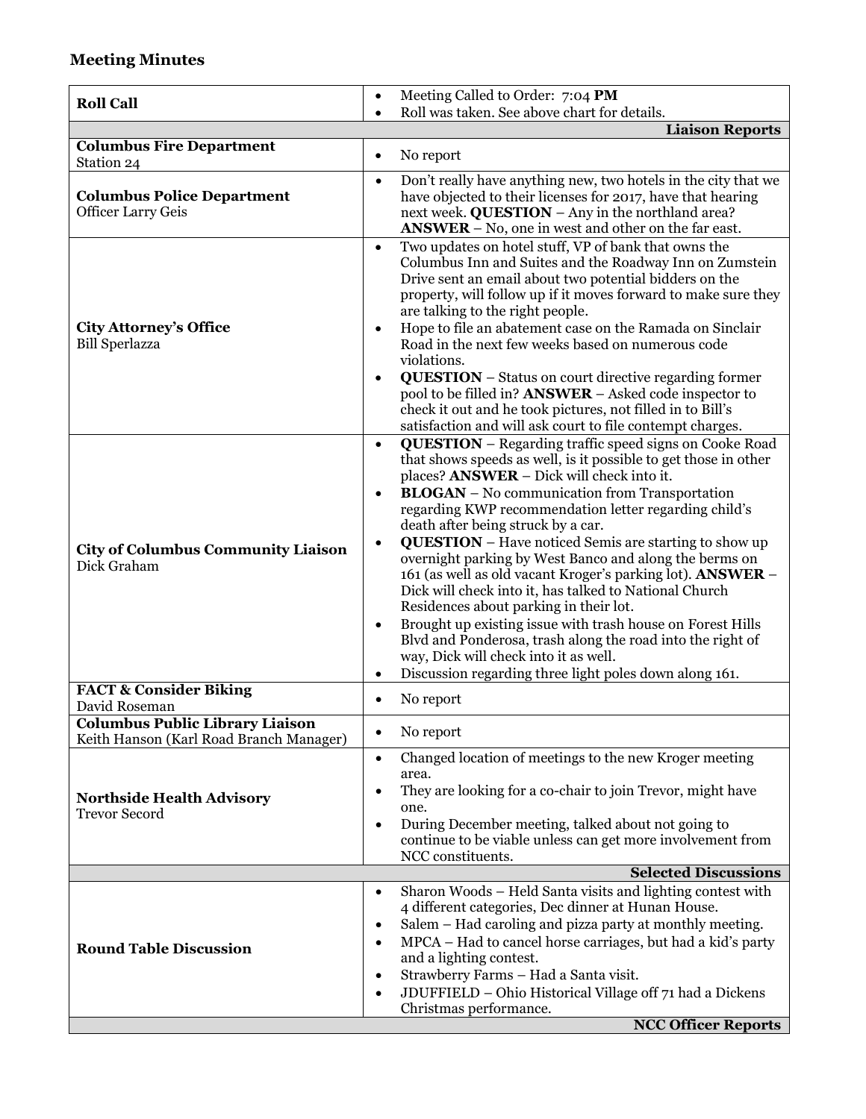## **Meeting Minutes**

| <b>Roll Call</b>                                               | Meeting Called to Order: 7:04 PM<br>$\bullet$                                                                                                                                                                                                                                                                                                                                                                                                                                                                                                                                                                                                                                                                                                                                                                                                                                                                       |
|----------------------------------------------------------------|---------------------------------------------------------------------------------------------------------------------------------------------------------------------------------------------------------------------------------------------------------------------------------------------------------------------------------------------------------------------------------------------------------------------------------------------------------------------------------------------------------------------------------------------------------------------------------------------------------------------------------------------------------------------------------------------------------------------------------------------------------------------------------------------------------------------------------------------------------------------------------------------------------------------|
|                                                                | Roll was taken. See above chart for details.<br>$\bullet$<br><b>Liaison Reports</b>                                                                                                                                                                                                                                                                                                                                                                                                                                                                                                                                                                                                                                                                                                                                                                                                                                 |
| <b>Columbus Fire Department</b>                                |                                                                                                                                                                                                                                                                                                                                                                                                                                                                                                                                                                                                                                                                                                                                                                                                                                                                                                                     |
| Station 24                                                     | No report<br>$\bullet$                                                                                                                                                                                                                                                                                                                                                                                                                                                                                                                                                                                                                                                                                                                                                                                                                                                                                              |
| <b>Columbus Police Department</b><br><b>Officer Larry Geis</b> | Don't really have anything new, two hotels in the city that we<br>$\bullet$<br>have objected to their licenses for 2017, have that hearing<br>next week. QUESTION - Any in the northland area?<br>$ANSWER - No$ , one in west and other on the far east.                                                                                                                                                                                                                                                                                                                                                                                                                                                                                                                                                                                                                                                            |
| <b>City Attorney's Office</b><br><b>Bill Sperlazza</b>         | Two updates on hotel stuff, VP of bank that owns the<br>$\bullet$<br>Columbus Inn and Suites and the Roadway Inn on Zumstein<br>Drive sent an email about two potential bidders on the<br>property, will follow up if it moves forward to make sure they<br>are talking to the right people.<br>Hope to file an abatement case on the Ramada on Sinclair<br>$\bullet$<br>Road in the next few weeks based on numerous code<br>violations.<br><b>QUESTION</b> – Status on court directive regarding former<br>$\bullet$<br>pool to be filled in? <b>ANSWER</b> – Asked code inspector to<br>check it out and he took pictures, not filled in to Bill's<br>satisfaction and will ask court to file contempt charges.                                                                                                                                                                                                  |
| <b>City of Columbus Community Liaison</b><br>Dick Graham       | <b>QUESTION</b> - Regarding traffic speed signs on Cooke Road<br>$\bullet$<br>that shows speeds as well, is it possible to get those in other<br>places? ANSWER - Dick will check into it.<br><b>BLOGAN</b> – No communication from Transportation<br>$\bullet$<br>regarding KWP recommendation letter regarding child's<br>death after being struck by a car.<br><b>QUESTION</b> – Have noticed Semis are starting to show up<br>$\bullet$<br>overnight parking by West Banco and along the berms on<br>161 (as well as old vacant Kroger's parking lot). ANSWER -<br>Dick will check into it, has talked to National Church<br>Residences about parking in their lot.<br>Brought up existing issue with trash house on Forest Hills<br>Blvd and Ponderosa, trash along the road into the right of<br>way, Dick will check into it as well.<br>Discussion regarding three light poles down along 161.<br>$\bullet$ |
| <b>FACT &amp; Consider Biking</b>                              | No report<br>$\bullet$                                                                                                                                                                                                                                                                                                                                                                                                                                                                                                                                                                                                                                                                                                                                                                                                                                                                                              |
| David Roseman<br><b>Columbus Public Library Liaison</b>        |                                                                                                                                                                                                                                                                                                                                                                                                                                                                                                                                                                                                                                                                                                                                                                                                                                                                                                                     |
| Keith Hanson (Karl Road Branch Manager)                        | No report<br>$\bullet$                                                                                                                                                                                                                                                                                                                                                                                                                                                                                                                                                                                                                                                                                                                                                                                                                                                                                              |
| <b>Northside Health Advisory</b><br><b>Trevor Secord</b>       | Changed location of meetings to the new Kroger meeting<br>$\bullet$<br>area.<br>They are looking for a co-chair to join Trevor, might have<br>$\bullet$<br>one.<br>During December meeting, talked about not going to<br>$\bullet$<br>continue to be viable unless can get more involvement from<br>NCC constituents.                                                                                                                                                                                                                                                                                                                                                                                                                                                                                                                                                                                               |
|                                                                | <b>Selected Discussions</b>                                                                                                                                                                                                                                                                                                                                                                                                                                                                                                                                                                                                                                                                                                                                                                                                                                                                                         |
| <b>Round Table Discussion</b>                                  | Sharon Woods - Held Santa visits and lighting contest with<br>$\bullet$<br>4 different categories, Dec dinner at Hunan House.<br>Salem - Had caroling and pizza party at monthly meeting.<br>٠<br>MPCA – Had to cancel horse carriages, but had a kid's party<br>٠<br>and a lighting contest.<br>Strawberry Farms - Had a Santa visit.<br>$\bullet$<br>JDUFFIELD - Ohio Historical Village off 71 had a Dickens<br>٠<br>Christmas performance.                                                                                                                                                                                                                                                                                                                                                                                                                                                                      |
|                                                                | <b>NCC Officer Reports</b>                                                                                                                                                                                                                                                                                                                                                                                                                                                                                                                                                                                                                                                                                                                                                                                                                                                                                          |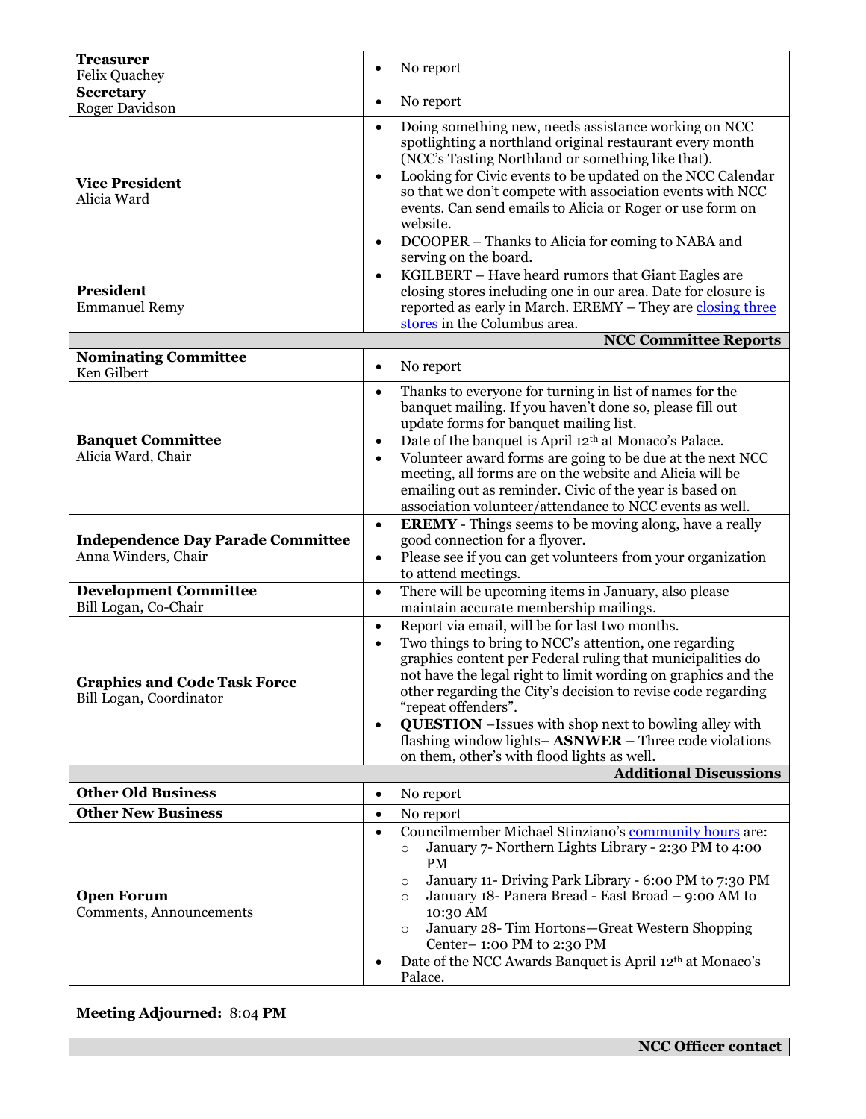| <b>Treasurer</b><br><b>Felix Quachey</b>                        | No report<br>$\bullet$                                                                                                                                                                                                                                                                                                                                                                                                                                                                                                                                            |
|-----------------------------------------------------------------|-------------------------------------------------------------------------------------------------------------------------------------------------------------------------------------------------------------------------------------------------------------------------------------------------------------------------------------------------------------------------------------------------------------------------------------------------------------------------------------------------------------------------------------------------------------------|
| <b>Secretary</b>                                                |                                                                                                                                                                                                                                                                                                                                                                                                                                                                                                                                                                   |
| <b>Roger Davidson</b>                                           | No report<br>$\bullet$                                                                                                                                                                                                                                                                                                                                                                                                                                                                                                                                            |
| <b>Vice President</b><br>Alicia Ward                            | Doing something new, needs assistance working on NCC<br>$\bullet$<br>spotlighting a northland original restaurant every month<br>(NCC's Tasting Northland or something like that).<br>Looking for Civic events to be updated on the NCC Calendar<br>$\bullet$<br>so that we don't compete with association events with NCC<br>events. Can send emails to Alicia or Roger or use form on<br>website.<br>DCOOPER – Thanks to Alicia for coming to NABA and<br>$\bullet$<br>serving on the board.<br>KGILBERT - Have heard rumors that Giant Eagles are<br>$\bullet$ |
| <b>President</b><br><b>Emmanuel Remy</b>                        | closing stores including one in our area. Date for closure is<br>reported as early in March. EREMY - They are closing three<br>stores in the Columbus area.                                                                                                                                                                                                                                                                                                                                                                                                       |
|                                                                 | <b>NCC Committee Reports</b>                                                                                                                                                                                                                                                                                                                                                                                                                                                                                                                                      |
| <b>Nominating Committee</b><br>Ken Gilbert                      | No report<br>٠                                                                                                                                                                                                                                                                                                                                                                                                                                                                                                                                                    |
| <b>Banquet Committee</b><br>Alicia Ward, Chair                  | Thanks to everyone for turning in list of names for the<br>$\bullet$<br>banquet mailing. If you haven't done so, please fill out<br>update forms for banquet mailing list.<br>Date of the banquet is April 12 <sup>th</sup> at Monaco's Palace.<br>$\bullet$<br>Volunteer award forms are going to be due at the next NCC<br>$\bullet$<br>meeting, all forms are on the website and Alicia will be<br>emailing out as reminder. Civic of the year is based on<br>association volunteer/attendance to NCC events as well.                                          |
| <b>Independence Day Parade Committee</b><br>Anna Winders, Chair | <b>EREMY</b> - Things seems to be moving along, have a really<br>$\bullet$<br>good connection for a flyover.<br>Please see if you can get volunteers from your organization<br>$\bullet$<br>to attend meetings.                                                                                                                                                                                                                                                                                                                                                   |
| <b>Development Committee</b><br>Bill Logan, Co-Chair            | There will be upcoming items in January, also please<br>$\bullet$<br>maintain accurate membership mailings.                                                                                                                                                                                                                                                                                                                                                                                                                                                       |
| <b>Graphics and Code Task Force</b><br>Bill Logan, Coordinator  | Report via email, will be for last two months.<br>$\bullet$<br>Two things to bring to NCC's attention, one regarding<br>$\bullet$<br>graphics content per Federal ruling that municipalities do<br>not have the legal right to limit wording on graphics and the<br>other regarding the City's decision to revise code regarding<br>"repeat offenders".<br><b>QUESTION</b> - Issues with shop next to bowling alley with<br>$\bullet$<br>flashing window lights-ASNWER - Three code violations<br>on them, other's with flood lights as well.                     |
|                                                                 | <b>Additional Discussions</b>                                                                                                                                                                                                                                                                                                                                                                                                                                                                                                                                     |
| <b>Other Old Business</b>                                       | No report<br>$\bullet$                                                                                                                                                                                                                                                                                                                                                                                                                                                                                                                                            |
| <b>Other New Business</b>                                       | No report<br>$\bullet$                                                                                                                                                                                                                                                                                                                                                                                                                                                                                                                                            |
| <b>Open Forum</b><br>Comments, Announcements                    | Councilmember Michael Stinziano's community hours are:<br>$\bullet$<br>January 7- Northern Lights Library - 2:30 PM to 4:00<br>$\circ$<br><b>PM</b><br>January 11- Driving Park Library - 6:00 PM to 7:30 PM<br>$\circ$<br>January 18- Panera Bread - East Broad - 9:00 AM to<br>$\circ$<br>10:30 AM<br>January 28- Tim Hortons-Great Western Shopping<br>$\circ$<br>Center-1:00 PM to 2:30 PM<br>Date of the NCC Awards Banquet is April 12 <sup>th</sup> at Monaco's<br>Palace.                                                                                 |

## **Meeting Adjourned:** 8:04 **PM**